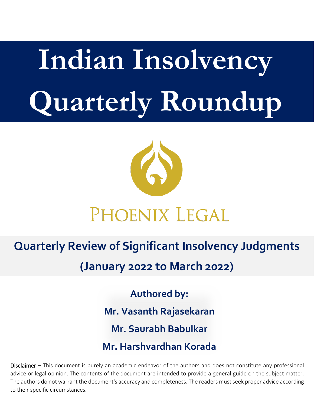# **Indian Insolvency Quarterly Roundup**



## PHOENIX LEGAL

### **Quarterly Review of Significant Insolvency Judgments**

**(January 2022 to March 2022)**

**Authored by: Mr. Vasanth Rajasekaran Mr. Saurabh Babulkar Mr. Harshvardhan Korada**

Disclaimer – This document is purely an academic endeavor of the authors and does not constitute any professional advice or legal opinion. The contents of the document are intended to provide a general guide on the subject matter. The authors do not warrant the document's accuracy and completeness. The readers must seek proper advice according to their specific circumstances.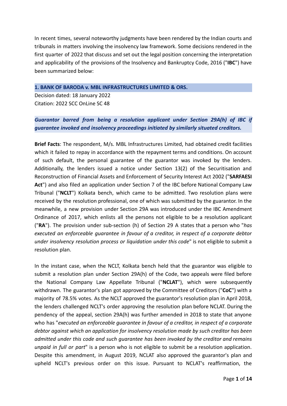In recent times, several noteworthy judgments have been rendered by the Indian courts and tribunals in matters involving the insolvency law framework. Some decisions rendered in the first quarter of 2022 that discuss and set out the legal position concerning the interpretation and applicability of the provisions of the Insolvency and Bankruptcy Code, 2016 ("**IBC**") have been summarized below:

#### **1. BANK OF BARODA v. MBL INFRASTRUCTURES LIMITED & ORS.**

Decision dated: 18 January 2022 Citation: 2022 SCC OnLine SC 48

#### *Guarantor barred from being a resolution applicant under Section 29A(h) of IBC if guarantee invoked and insolvency proceedings initiated by similarly situated creditors.*

**Brief Facts**: The respondent, M/s. MBL Infrastructures Limited, had obtained credit facilities which it failed to repay in accordance with the repayment terms and conditions. On account of such default, the personal guarantee of the guarantor was invoked by the lenders. Additionally, the lenders issued a notice under Section 13(2) of the Securitisation and Reconstruction of Financial Assets and Enforcement of Security Interest Act 2002 ("**SARFAESI Act**") and also filed an application under Section 7 of the IBC before National Company Law Tribunal ("**NCLT**") Kolkata bench, which came to be admitted. Two resolution plans were received by the resolution professional, one of which was submitted by the guarantor. In the meanwhile, a new provision under Section 29A was introduced under the IBC Amendment Ordinance of 2017, which enlists all the persons not eligible to be a resolution applicant ("**RA**"). The provision under sub-section (h) of Section 29 A states that a person who "*has executed an enforceable guarantee in favour of a creditor, in respect of a corporate debtor under insolvency resolution process or liquidation under this code*" is not eligible to submit a resolution plan.

In the instant case, when the NCLT, Kolkata bench held that the guarantor was eligible to submit a resolution plan under Section 29A(h) of the Code, two appeals were filed before the National Company Law Appellate Tribunal ("**NCLAT**"), which were subsequently withdrawn. The guarantor's plan got approved by the Committee of Creditors ("**CoC**") with a majority of 78.5% votes. As the NCLT approved the guarantor's resolution plan in April 2018, the lenders challenged NCLT's order approving the resolution plan before NCLAT. During the pendency of the appeal, section 29A(h) was further amended in 2018 to state that anyone who has "*executed an enforceable guarantee in favour of a creditor, in respect of a corporate debtor against which an application for insolvency resolution made by such creditor has been admitted under this code and such guarantee has been invoked by the creditor and remains unpaid in full or part*" is a person who is not eligible to submit be a resolution application. Despite this amendment, in August 2019, NCLAT also approved the guarantor's plan and upheld NCLT's previous order on this issue. Pursuant to NCLAT's reaffirmation, the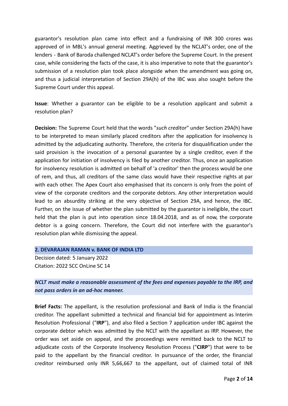guarantor's resolution plan came into effect and a fundraising of INR 300 crores was approved of in MBL's annual general meeting. Aggrieved by the NCLAT's order, one of the lenders - Bank of Baroda challenged NCLAT's order before the Supreme Court. In the present case, while considering the facts of the case, it is also imperative to note that the guarantor's submission of a resolution plan took place alongside when the amendment was going on, and thus a judicial interpretation of Section 29A(h) of the IBC was also sought before the Supreme Court under this appeal.

**Issue**: Whether a guarantor can be eligible to be a resolution applicant and submit a resolution plan?

**Decision:** The Supreme Court held that the words "*such creditor*" under Section 29A(h) have to be interpreted to mean similarly placed creditors after the application for insolvency is admitted by the adjudicating authority. Therefore, the criteria for disqualification under the said provision is the invocation of a personal guarantee by a single creditor, even if the application for initiation of insolvency is filed by another creditor. Thus, once an application for insolvency resolution is admitted on behalf of 'a creditor' then the process would be one of rem, and thus, all creditors of the same class would have their respective rights at par with each other. The Apex Court also emphasised that its concern is only from the point of view of the corporate creditors and the corporate debtors. Any other interpretation would lead to an absurdity striking at the very objective of Section 29A, and hence, the IBC. Further, on the issue of whether the plan submitted by the guarantor is ineligible, the court held that the plan is put into operation since 18.04.2018, and as of now, the corporate debtor is a going concern. Therefore, the Court did not interfere with the guarantor's resolution plan while dismissing the appeal.

#### **2. DEVARAJAN RAMAN v. BANK OF INDIA LTD**

Decision dated: 5 January 2022 Citation: 2022 SCC OnLine SC 14

#### *NCLT must make a reasonable assessment of the fees and expenses payable to the IRP, and not pass orders in an ad-hoc manner.*

**Brief Facts:** The appellant, is the resolution professional and Bank of India is the financial creditor. The appellant submitted a technical and financial bid for appointment as Interim Resolution Professional ("**IRP**"), and also filed a Section 7 application under IBC against the corporate debtor which was admitted by the NCLT with the appellant as IRP. However, the order was set aside on appeal, and the proceedings were remitted back to the NCLT to adjudicate costs of the Corporate Insolvency Resolution Process ("**CIRP**") that were to be paid to the appellant by the financial creditor. In pursuance of the order, the financial creditor reimbursed only INR 5,66,667 to the appellant, out of claimed total of INR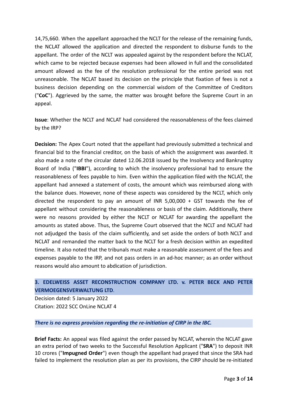14,75,660. When the appellant approached the NCLT for the release of the remaining funds, the NCLAT allowed the application and directed the respondent to disburse funds to the appellant. The order of the NCLT was appealed against by the respondent before the NCLAT, which came to be rejected because expenses had been allowed in full and the consolidated amount allowed as the fee of the resolution professional for the entire period was not unreasonable. The NCLAT based its decision on the principle that fixation of fees is not a business decision depending on the commercial wisdom of the Committee of Creditors ("**CoC**"). Aggrieved by the same, the matter was brought before the Supreme Court in an appeal.

**Issue**: Whether the NCLT and NCLAT had considered the reasonableness of the fees claimed by the IRP?

**Decision:** The Apex Court noted that the appellant had previously submitted a technical and financial bid to the financial creditor, on the basis of which the assignment was awarded. It also made a note of the circular dated 12.06.2018 issued by the Insolvency and Bankruptcy Board of India ("**IBBI**"), according to which the insolvency professional had to ensure the reasonableness of fees payable to him. Even within the application filed with the NCLAT, the appellant had annexed a statement of costs, the amount which was reimbursed along with the balance dues. However, none of these aspects was considered by the NCLT, which only directed the respondent to pay an amount of INR 5,00,000 + GST towards the fee of appellant without considering the reasonableness or basis of the claim. Additionally, there were no reasons provided by either the NCLT or NCLAT for awarding the appellant the amounts as stated above. Thus, the Supreme Court observed that the NCLT and NCLAT had not adjudged the basis of the claim sufficiently, and set aside the orders of both NCLT and NCLAT and remanded the matter back to the NCLT for a fresh decision within an expedited timeline. It also noted that the tribunals must make a reasonable assessment of the fees and expenses payable to the IRP, and not pass orders in an ad-hoc manner; as an order without reasons would also amount to abdication of jurisdiction.

#### **3. EDELWEISS ASSET RECONSTRUCTION COMPANY LTD. v. PETER BECK AND PETER VERMOEGENSVERWALTUNG LTD**.

Decision dated: 5 January 2022 Citation: 2022 SCC OnLine NCLAT 4

#### *There is no express provision regarding the re-initiation of CIRP in the IBC.*

**Brief Facts:** An appeal was filed against the order passed by NCLAT, wherein the NCLAT gave an extra period of two weeks to the Successful Resolution Applicant ("**SRA**") to deposit INR 10 crores ("**Impugned Order**") even though the appellant had prayed that since the SRA had failed to implement the resolution plan as per its provisions, the CIRP should be re-initiated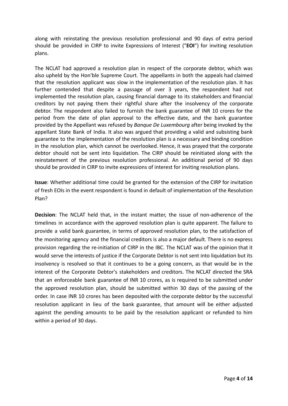along with reinstating the previous resolution professional and 90 days of extra period should be provided in CIRP to invite Expressions of Interest ("**EOI**") for inviting resolution plans.

The NCLAT had approved a resolution plan in respect of the corporate debtor, which was also upheld by the Hon'ble Supreme Court. The appellants in both the appeals had claimed that the resolution applicant was slow in the implementation of the resolution plan. It has further contended that despite a passage of over 3 years, the respondent had not implemented the resolution plan, causing financial damage to its stakeholders and financial creditors by not paying them their rightful share after the insolvency of the corporate debtor. The respondent also failed to furnish the bank guarantee of INR 10 crores for the period from the date of plan approval to the effective date, and the bank guarantee provided by the Appellant was refused by *Banque De Luxembourg* after being invoked by the appellant State Bank of India. It also was argued that providing a valid and subsisting bank guarantee to the implementation of the resolution plan is a necessary and binding condition in the resolution plan, which cannot be overlooked. Hence, it was prayed that the corporate debtor should not be sent into liquidation. The CIRP should be reinitiated along with the reinstatement of the previous resolution professional. An additional period of 90 days should be provided in CIRP to invite expressions of interest for inviting resolution plans.

**Issue**: Whether additional time could be granted for the extension of the CIRP for invitation of fresh EOIs in the event respondent is found in default of implementation of the Resolution Plan?

**Decision**: The NCLAT held that, in the instant matter, the issue of non-adherence of the timelines in accordance with the approved resolution plan is quite apparent. The failure to provide a valid bank guarantee, in terms of approved resolution plan, to the satisfaction of the monitoring agency and the financial creditors is also a major default. There is no express provision regarding the re-initiation of CIRP in the IBC. The NCLAT was of the opinion that it would serve the interests of justice if the Corporate Debtor is not sent into liquidation but its insolvency is resolved so that it continues to be a going concern, as that would be in the interest of the Corporate Debtor's stakeholders and creditors. The NCLAT directed the SRA that an enforceable bank guarantee of INR 10 crores, as is required to be submitted under the approved resolution plan, should be submitted within 30 days of the passing of the order. In case INR 10 crores has been deposited with the corporate debtor by the successful resolution applicant in lieu of the bank guarantee, that amount will be either adjusted against the pending amounts to be paid by the resolution applicant or refunded to him within a period of 30 days.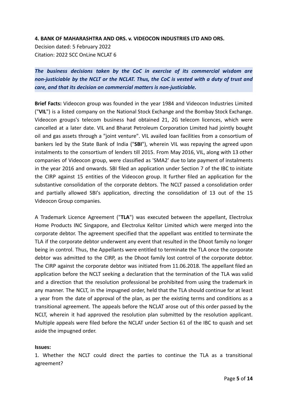**4. BANK OF MAHARASHTRA AND ORS. v. VIDEOCON INDUSTRIES LTD AND ORS.**

Decision dated: 5 February 2022 Citation: 2022 SCC OnLine NCLAT 6

*The business decisions taken by the CoC in exercise of its commercial wisdom are non-justiciable by the NCLT or the NCLAT. Thus, the CoC is vested with a duty of trust and care, and that its decision on commercial matters is non-justiciable.*

**Brief Facts:** Videocon group was founded in the year 1984 and Videocon Industries Limited ("**VIL**") is a listed company on the National Stock Exchange and the Bombay Stock Exchange. Videocon groups's telecom business had obtained 21, 2G telecom licences, which were cancelled at a later date. VIL and Bharat Petroleum Corporation Limited had jointly bought oil and gas assets through a "joint venture". VIL availed loan facilities from a consortium of bankers led by the State Bank of India ("**SBI**"), wherein VIL was repaying the agreed upon instalments to the consortium of lenders till 2015. From May 2016, VIL, along with 13 other companies of Videocon group, were classified as 'SMA2' due to late payment of instalments in the year 2016 and onwards. SBI filed an application under Section 7 of the IBC to initiate the CIRP against 15 entities of the Videocon group. It further filed an application for the substantive consolidation of the corporate debtors. The NCLT passed a consolidation order and partially allowed SBI's application, directing the consolidation of 13 out of the 15 Videocon Group companies.

A Trademark Licence Agreement ("**TLA**") was executed between the appellant, Electrolux Home Products INC Singapore, and Electrolux Kelitor Limited which were merged into the corporate debtor. The agreement specified that the appellant was entitled to terminate the TLA if the corporate debtor underwent any event that resulted in the Dhoot family no longer being in control. Thus, the Appellants were entitled to terminate the TLA once the corporate debtor was admitted to the CIRP, as the Dhoot family lost control of the corporate debtor. The CIRP against the corporate debtor was initiated from 11.06.2018. The appellant filed an application before the NCLT seeking a declaration that the termination of the TLA was valid and a direction that the resolution professional be prohibited from using the trademark in any manner. The NCLT, in the impugned order, held that the TLA should continue for at least a year from the date of approval of the plan, as per the existing terms and conditions as a transitional agreement. The appeals before the NCLAT arose out of this order passed by the NCLT, wherein it had approved the resolution plan submitted by the resolution applicant. Multiple appeals were filed before the NCLAT under Section 61 of the IBC to quash and set aside the impugned order.

#### **Issues:**

1. Whether the NCLT could direct the parties to continue the TLA as a transitional agreement?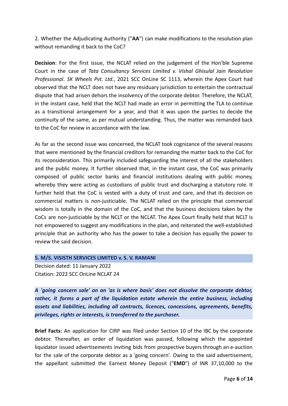2. Whether the Adjudicating Authority ("**AA**") can make modifications to the resolution plan without remanding it back to the CoC?

**Decision**: For the first issue, the NCLAT relied on the judgement of the Hon'ble Supreme Court in the case of *Tata Consultancy Services Limited v. Vishal Ghisulal Jain Resolution Professional*. *SK Wheels Pvt. Ltd.*, 2021 SCC OnLine SC 1113, wherein the Apex Court had observed that the NCLT does not have any residuary jurisdiction to entertain the contractual dispute that had arisen dehors the insolvency of the corporate debtor. Therefore, the NCLAT, in the instant case, held that the NCLT had made an error in permitting the TLA to continue as a transitional arrangement for a year, and that it was upon the parties to decide the continuity of the same, as per mutual understanding. Thus, the matter was remanded back to the CoC for review in accordance with the law.

As far as the second issue was concerned, the NCLAT took cognizance of the several reasons that were mentioned by the financial creditors for remanding the matter back to the CoC for its reconsideration. This primarily included safeguarding the interest of all the stakeholders and the public money. It further observed that, in the instant case, the CoC was primarily composed of public sector banks and financial institutions dealing with public money, whereby they were acting as custodians of public trust and discharging a statutory role. It further held that the CoC is vested with a duty of trust and care, and that its decision on commercial matters is non-justiciable. The NCLAT relied on the principle that commercial wisdom is totally in the domain of the CoC, and that the business decisions taken by the CoCs are non-justiciable by the NCLT or the NCLAT. The Apex Court finally held that NCLT is not empowered to suggest any modifications in the plan, and reiterated the well-established principle that an authority who has the power to take a decision has equally the power to review the said decision.

#### **5. M/S. VISISTH SERVICES LIMITED v. S. V. RAMANI**

Decision dated: 11 January 2022 Citation: 2022 SCC OnLine NCLAT 24

*A 'going concern sale' on an 'as is where basis' does not dissolve the corporate debtor, rather, it forms a part of the liquidation estate wherein the entire business, including assets and liabilities, including all contracts, licences, concessions, agreements, benefits, privileges, rights or interests, is transferred to the purchaser.*

**Brief Facts:** An application for CIRP was filed under Section 10 of the IBC by the corporate debtor. Thereafter, an order of liquidation was passed, following which the appointed liquidator issued advertisements inviting bids from prospective buyers through an e-auction for the sale of the corporate debtor as a 'going concern'. Owing to the said advertisement, the appellant submitted the Earnest Money Deposit ("**EMD**") of INR 37,10,000 to the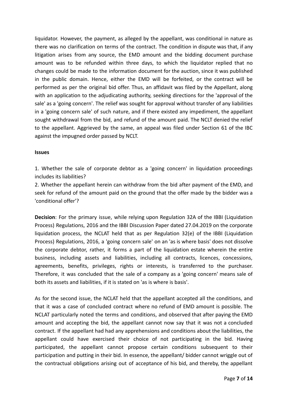liquidator. However, the payment, as alleged by the appellant, was conditional in nature as there was no clarification on terms of the contract. The condition in dispute was that, if any litigation arises from any source, the EMD amount and the bidding document purchase amount was to be refunded within three days, to which the liquidator replied that no changes could be made to the information document for the auction, since it was published in the public domain. Hence, either the EMD will be forfeited, or the contract will be performed as per the original bid offer. Thus, an affidavit was filed by the Appellant, along with an application to the adjudicating authority, seeking directions for the 'approval of the sale' as a 'going concern'. The relief was sought for approval without transfer of any liabilities in a 'going concern sale' of such nature, and if there existed any impediment, the appellant sought withdrawal from the bid, and refund of the amount paid. The NCLT denied the relief to the appellant. Aggrieved by the same, an appeal was filed under Section 61 of the IBC against the impugned order passed by NCLT.

#### **Issues**

1. Whether the sale of corporate debtor as a 'going concern' in liquidation proceedings includes its liabilities?

2. Whether the appellant herein can withdraw from the bid after payment of the EMD, and seek for refund of the amount paid on the ground that the offer made by the bidder was a 'conditional offer'?

**Decision**: For the primary issue, while relying upon Regulation 32A of the IBBI (Liquidation Process) Regulations, 2016 and the IBBI Discussion Paper dated 27.04.2019 on the corporate liquidation process, the NCLAT held that as per Regulation 32(e) of the IBBI (Liquidation Process) Regulations, 2016, a 'going concern sale' on an 'as is where basis' does not dissolve the corporate debtor, rather, it forms a part of the liquidation estate wherein the entire business, including assets and liabilities, including all contracts, licences, concessions, agreements, benefits, privileges, rights or interests, is transferred to the purchaser. Therefore, it was concluded that the sale of a company as a 'going concern' means sale of both its assets and liabilities, if it is stated on 'as is where is basis'.

As for the second issue, the NCLAT held that the appellant accepted all the conditions, and that it was a case of concluded contract where no refund of EMD amount is possible. The NCLAT particularly noted the terms and conditions, and observed that after paying the EMD amount and accepting the bid, the appellant cannot now say that it was not a concluded contract. If the appellant had had any apprehensions and conditions about the liabilities, the appellant could have exercised their choice of not participating in the bid. Having participated, the appellant cannot propose certain conditions subsequent to their participation and putting in their bid. In essence, the appellant/ bidder cannot wriggle out of the contractual obligations arising out of acceptance of his bid, and thereby, the appellant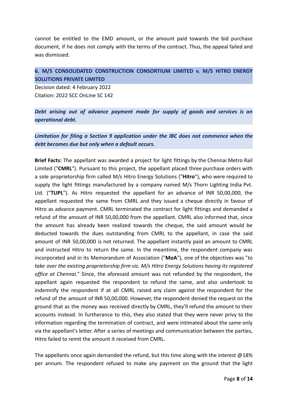cannot be entitled to the EMD amount, or the amount paid towards the bid purchase document, if he does not comply with the terms of the contract. Thus, the appeal failed and was dismissed.

#### **6. M/S CONSOLIDATED CONSTRUCTION CONSORTIUM LIMITED v. M/S HITRO ENERGY SOLUTIONS PRIVATE LIMITED**

Decision dated: 4 February 2022 Citation: 2022 SCC OnLine SC 142

*Debt arising out of advance payment made for supply of goods and services is an operational debt.*

*Limitation for filing a Section 9 application under the IBC does not commence when the debt becomes due but only when a default occurs.*

**Brief Facts:** The appellant was awarded a project for light fittings by the Chennai Metro Rail Limited ("**CMRL**"). Pursuant to this project, the appellant placed three purchase orders with a sole proprietorship firm called M/s Hitro Energy Solutions ("**Hitro**"), who were required to supply the light fittings manufactured by a company named M/s Thorn Lighting India Pvt. Ltd. ("**TLIPL**"). As Hitro requested the appellant for an advance of INR 50,00,000, the appellant requested the same from CMRL and they issued a cheque directly in favour of Hitro as advance payment. CMRL terminated the contract for light fittings and demanded a refund of the amount of INR 50,00,000 from the appellant. CMRL also informed that, since the amount has already been realized towards the cheque, the said amount would be deducted towards the dues outstanding from CMRL to the appellant, in case the said amount of INR 50,00,000 is not returned. The appellant instantly paid an amount to CMRL and instructed Hitro to return the same. In the meantime, the respondent company was incorporated and in its Memorandum of Association ("**MoA**"), one of the objectives was "*to take over the existing proprietorship firm viz. M/s Hitro Energy Solutions having its registered office at Chennai.*" Since, the aforesaid amount was not refunded by the respondent, the appellant again requested the respondent to refund the same, and also undertook to indemnify the respondent if at all CMRL raised any claim against the respondent for the refund of the amount of INR 50,00,000. However, the respondent denied the request on the ground that as the money was received directly by CMRL, they'll refund the amount to their accounts instead. In furtherance to this, they also stated that they were never privy to the information regarding the termination of contract, and were intimated about the same only via the appellant's letter. After a series of meetings and communication between the parties, Hitro failed to remit the amount it received from CMRL.

The appellants once again demanded the refund, but this time along with the interest  $@18\%$ per annum. The respondent refused to make any payment on the ground that the light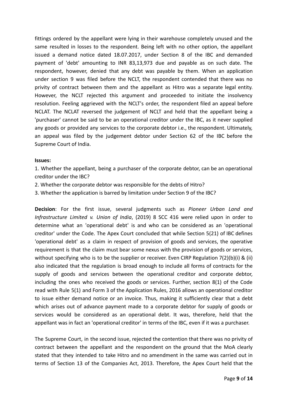fittings ordered by the appellant were lying in their warehouse completely unused and the same resulted in losses to the respondent. Being left with no other option, the appellant issued a demand notice dated 18.07.2017, under Section 8 of the IBC and demanded payment of 'debt' amounting to INR 83,13,973 due and payable as on such date. The respondent, however, denied that any debt was payable by them. When an application under section 9 was filed before the NCLT, the respondent contended that there was no privity of contract between them and the appellant as Hitro was a separate legal entity. However, the NCLT rejected this argument and proceeded to initiate the insolvency resolution. Feeling aggrieved with the NCLT's order, the respondent filed an appeal before NCLAT. The NCLAT reversed the judgement of NCLT and held that the appellant being a 'purchaser' cannot be said to be an operational creditor under the IBC, as it never supplied any goods or provided any services to the corporate debtor i.e., the respondent. Ultimately, an appeal was filed by the judgement debtor under Section 62 of the IBC before the Supreme Court of India.

#### **Issues:**

1. Whether the appellant, being a purchaser of the corporate debtor, can be an operational creditor under the IBC?

- 2. Whether the corporate debtor was responsible for the debts of Hitro?
- 3. Whether the application is barred by limitation under Section 9 of the IBC?

**Decision**: For the first issue, several judgments such as *Pioneer Urban Land and Infrastructure Limited v. Union of India*, (2019) 8 SCC 416 were relied upon in order to determine what an 'operational debt' is and who can be considered as an 'operational creditor' under the Code. The Apex Court concluded that while Section 5(21) of IBC defines 'operational debt' as a claim in respect of provision of goods and services, the operative requirement is that the claim must bear some nexus with the provision of goods or services, without specifying who is to be the supplier or receiver. Even CIRP Regulation  $7(2)(b)(i)$  & (ii) also indicated that the regulation is broad enough to include all forms of contracts for the supply of goods and services between the operational creditor and corporate debtor, including the ones who received the goods or services. Further, section 8(1) of the Code read with Rule 5(1) and Form 3 of the Application Rules, 2016 allows an operational creditor to issue either demand notice or an invoice. Thus, making it sufficiently clear that a debt which arises out of advance payment made to a corporate debtor for supply of goods or services would be considered as an operational debt. It was, therefore, held that the appellant was in fact an 'operational creditor' in terms of the IBC, even if it was a purchaser.

The Supreme Court, in the second issue, rejected the contention that there was no privity of contract between the appellant and the respondent on the ground that the MoA clearly stated that they intended to take Hitro and no amendment in the same was carried out in terms of Section 13 of the Companies Act, 2013. Therefore, the Apex Court held that the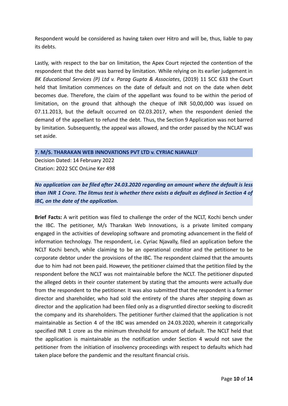Respondent would be considered as having taken over Hitro and will be, thus, liable to pay its debts.

Lastly, with respect to the bar on limitation, the Apex Court rejected the contention of the respondent that the debt was barred by limitation. While relying on its earlier judgement in *BK Educational Services (P) Ltd v. Parag Gupta & Associates*, (2019) 11 SCC 633 the Court held that limitation commences on the date of default and not on the date when debt becomes due. Therefore, the claim of the appellant was found to be within the period of limitation, on the ground that although the cheque of INR 50,00,000 was issued on 07.11.2013, but the default occurred on 02.03.2017, when the respondent denied the demand of the appellant to refund the debt. Thus, the Section 9 Application was not barred by limitation. Subsequently, the appeal was allowed, and the order passed by the NCLAT was set aside.

#### **7. M/S. THARAKAN WEB INNOVATIONS PVT LTD v. CYRIAC NJAVALLY**

Decision Dated: 14 February 2022 Citation: 2022 SCC OnLine Ker 498

#### *No application can be filed after 24.03.2020 regarding an amount where the default is less* than INR 1 Crore. The litmus test is whether there exists a default as defined in Section 4 of *IBC, on the date of the application.*

**Brief Facts:** A writ petition was filed to challenge the order of the NCLT, Kochi bench under the IBC. The petitioner, M/s Tharakan Web Innovations, is a private limited company engaged in the activities of developing software and promoting advancement in the field of information technology. The respondent, i.e. Cyriac Njavally, filed an application before the NCLT Kochi bench, while claiming to be an operational creditor and the petitioner to be corporate debtor under the provisions of the IBC. The respondent claimed that the amounts due to him had not been paid. However, the petitioner claimed that the petition filed by the respondent before the NCLT was not maintainable before the NCLT. The petitioner disputed the alleged debts in their counter statement by stating that the amounts were actually due from the respondent to the petitioner. It was also submitted that the respondent is a former director and shareholder, who had sold the entirety of the shares after stepping down as director and the application had been filed only as a disgruntled director seeking to discredit the company and its shareholders. The petitioner further claimed that the application is not maintainable as Section 4 of the IBC was amended on 24.03.2020, wherein it categorically specified INR 1 crore as the minimum threshold for amount of default. The NCLT held that the application is maintainable as the notification under Section 4 would not save the petitioner from the initiation of insolvency proceedings with respect to defaults which had taken place before the pandemic and the resultant financial crisis.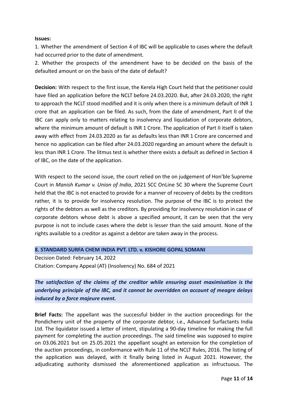#### **Issues:**

1. Whether the amendment of Section 4 of IBC will be applicable to cases where the default had occurred prior to the date of amendment.

2. Whether the prospects of the amendment have to be decided on the basis of the defaulted amount or on the basis of the date of default?

**Decision:** With respect to the first issue, the Kerela High Court held that the petitioner could have filed an application before the NCLT before 24.03.2020. But, after 24.03.2020, the right to approach the NCLT stood modified and it is only when there is a minimum default of INR 1 crore that an application can be filed. As such, from the date of amendment, Part II of the IBC can apply only to matters relating to insolvency and liquidation of corporate debtors, where the minimum amount of default is INR 1 Crore. The application of Part II itself is taken away with effect from 24.03.2020 as far as defaults less than INR 1 Crore are concerned and hence no application can be filed after 24.03.2020 regarding an amount where the default is less than INR 1 Crore. The litmus test is whether there exists a default as defined in Section 4 of IBC, on the date of the application.

With respect to the second issue, the court relied on the on judgement of Hon'ble Supreme Court in *Manish Kumar v. Union of India*, 2021 SCC OnLine SC 30 where the Supreme Court held that the IBC is not enacted to provide for a manner of recovery of debts by the creditors rather, it is to provide for insolvency resolution. The purpose of the IBC is to protect the rights of the debtors as well as the creditors. By providing for insolvency resolution in case of corporate debtors whose debt is above a specified amount, it can be seen that the very purpose is not to include cases where the debt is lesser than the said amount. None of the rights available to a creditor as against a debtor are taken away in the process.

**8. STANDARD SURFA CHEM INDIA PVT. LTD. v. KISHORE GOPAL SOMANI**

Decision Dated: February 14, 2022 Citation: Company Appeal (AT) (Insolvency) No. 684 of 2021

*The satisfaction of the claims of the creditor while ensuring asset maximisation is the underlying principle of the IBC, and it cannot be overridden on account of meagre delays induced by a force majeure event.*

**Brief Facts:** The appellant was the successful bidder in the auction proceedings for the Pondicherry unit of the property of the corporate debtor, i.e., Advanced Surfactants India Ltd. The liquidator issued a letter of intent, stipulating a 90-day timeline for making the full payment for completing the auction proceedings. The said timeline was supposed to expire on 03.06.2021 but on 25.05.2021 the appellant sought an extension for the completion of the auction proceedings, in conformance with Rule 11 of the NCLT Rules, 2016. The listing of the application was delayed, with it finally being listed in August 2021. However, the adjudicating authority dismissed the aforementioned application as infructuous. The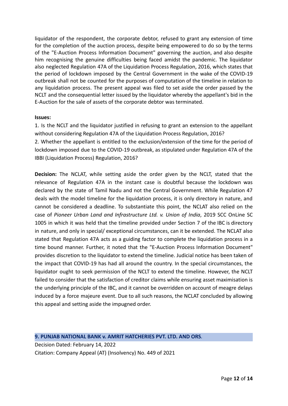liquidator of the respondent, the corporate debtor, refused to grant any extension of time for the completion of the auction process, despite being empowered to do so by the terms of the "E-Auction Process Information Document" governing the auction, and also despite him recognising the genuine difficulties being faced amidst the pandemic. The liquidator also neglected Regulation 47A of the Liquidation Process Regulation, 2016, which states that the period of lockdown imposed by the Central Government in the wake of the COVID-19 outbreak shall not be counted for the purposes of computation of the timeline in relation to any liquidation process. The present appeal was filed to set aside the order passed by the NCLT and the consequential letter issued by the liquidator whereby the appellant's bid in the E-Auction for the sale of assets of the corporate debtor was terminated.

#### **Issues:**

1. Is the NCLT and the liquidator justified in refusing to grant an extension to the appellant without considering Regulation 47A of the Liquidation Process Regulation, 2016?

2. Whether the appellant is entitled to the exclusion/extension of the time for the period of lockdown imposed due to the COVID-19 outbreak, as stipulated under Regulation 47A of the IBBI (Liquidation Process) Regulation, 2016?

**Decision:** The NCLAT, while setting aside the order given by the NCLT, stated that the relevance of Regulation 47A in the instant case is doubtful because the lockdown was declared by the state of Tamil Nadu and not the Central Government. While Regulation 47 deals with the model timeline for the liquidation process, it is only directory in nature, and cannot be considered a deadline. To substantiate this point, the NCLAT also relied on the case of *Pioneer Urban Land and Infrastructure Ltd. v. Union of India*, 2019 SCC OnLine SC 1005 in which it was held that the timeline provided under Section 7 of the IBC is directory in nature, and only in special/ exceptional circumstances, can it be extended. The NCLAT also stated that Regulation 47A acts as a guiding factor to complete the liquidation process in a time bound manner. Further, it noted that the "E-Auction Process Information Document" provides discretion to the liquidator to extend the timeline. Judicial notice has been taken of the impact that COVID-19 has had all around the country. In the special circumstances, the liquidator ought to seek permission of the NCLT to extend the timeline. However, the NCLT failed to consider that the satisfaction of creditor claims while ensuring asset maximisation is the underlying principle of the IBC, and it cannot be overridden on account of meagre delays induced by a force majeure event. Due to all such reasons, the NCLAT concluded by allowing this appeal and setting aside the impugned order.

#### **9. PUNJAB NATIONAL BANK v. AMRIT HATCHERIES PVT. LTD. AND ORS***.*

Decision Dated: February 14, 2022 Citation: Company Appeal (AT) (Insolvency) No. 449 of 2021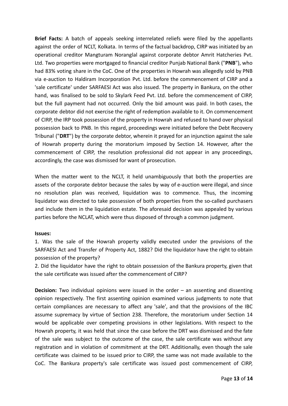**Brief Facts:** A batch of appeals seeking interrelated reliefs were filed by the appellants against the order of NCLT, Kolkata. In terms of the factual backdrop, CIRP was initiated by an operational creditor Mangturam Noranglal against corporate debtor Amrit Hatcheries Pvt. Ltd. Two properties were mortgaged to financial creditor Punjab National Bank ("**PNB**"), who had 83% voting share in the CoC. One of the properties in Howrah was allegedly sold by PNB via e-auction to Haldiram Incorporation Pvt. Ltd. before the commencement of CIRP and a 'sale certificate' under SARFAESI Act was also issued. The property in Bankura, on the other hand, was finalised to be sold to Skylark Feed Pvt. Ltd. before the commencement of CIRP, but the full payment had not occurred. Only the bid amount was paid. In both cases, the corporate debtor did not exercise the right of redemption available to it. On commencement of CIRP, the IRP took possession of the property in Howrah and refused to hand over physical possession back to PNB. In this regard, proceedings were initiated before the Debt Recovery Tribunal ("**DRT**") by the corporate debtor, wherein it prayed for an injunction against the sale of Howrah property during the moratorium imposed by Section 14. However, after the commencement of CIRP, the resolution professional did not appear in any proceedings, accordingly, the case was dismissed for want of prosecution.

When the matter went to the NCLT, it held unambiguously that both the properties are assets of the corporate debtor because the sales by way of e-auction were illegal, and since no resolution plan was received, liquidation was to commence. Thus, the incoming liquidator was directed to take possession of both properties from the so-called purchasers and include them in the liquidation estate. The aforesaid decision was appealed by various parties before the NCLAT, which were thus disposed of through a common judgment.

#### **Issues:**

1. Was the sale of the Howrah property validly executed under the provisions of the SARFAESI Act and Transfer of Property Act, 1882? Did the liquidator have the right to obtain possession of the property?

2. Did the liquidator have the right to obtain possession of the Bankura property, given that the sale certificate was issued after the commencement of CIRP?

**Decision:** Two individual opinions were issued in the order – an assenting and dissenting opinion respectively. The first assenting opinion examined various judgments to note that certain compliances are necessary to affect any 'sale', and that the provisions of the IBC assume supremacy by virtue of Section 238. Therefore, the moratorium under Section 14 would be applicable over competing provisions in other legislations. With respect to the Howrah property, it was held that since the case before the DRT was dismissed and the fate of the sale was subject to the outcome of the case, the sale certificate was without any registration and in violation of commitment at the DRT. Additionally, even though the sale certificate was claimed to be issued prior to CIRP, the same was not made available to the CoC. The Bankura property's sale certificate was issued post commencement of CIRP,